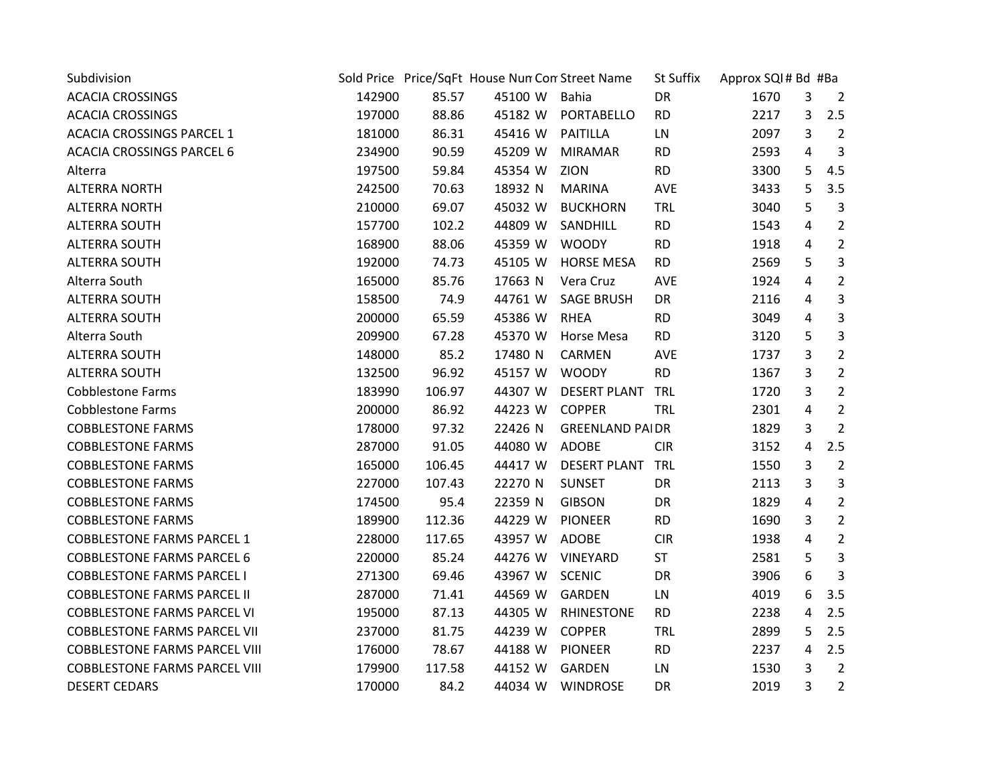| Subdivision                          |        |        | Sold Price Price/SqFt House Nun Con Street Name |                        | St Suffix  | Approx SQI# Bd #Ba |   |                |
|--------------------------------------|--------|--------|-------------------------------------------------|------------------------|------------|--------------------|---|----------------|
| <b>ACACIA CROSSINGS</b>              | 142900 | 85.57  | 45100 W Bahia                                   |                        | DR         | 1670               | 3 | $\overline{2}$ |
| <b>ACACIA CROSSINGS</b>              | 197000 | 88.86  | 45182 W                                         | PORTABELLO             | <b>RD</b>  | 2217               | 3 | 2.5            |
| <b>ACACIA CROSSINGS PARCEL 1</b>     | 181000 | 86.31  | 45416 W PAITILLA                                |                        | LN         | 2097               | 3 | $\overline{2}$ |
| <b>ACACIA CROSSINGS PARCEL 6</b>     | 234900 | 90.59  | 45209 W                                         | <b>MIRAMAR</b>         | <b>RD</b>  | 2593               | 4 | 3              |
| Alterra                              | 197500 | 59.84  | 45354 W                                         | ZION                   | <b>RD</b>  | 3300               | 5 | 4.5            |
| <b>ALTERRA NORTH</b>                 | 242500 | 70.63  | 18932 N                                         | <b>MARINA</b>          | AVE        | 3433               | 5 | 3.5            |
| <b>ALTERRA NORTH</b>                 | 210000 | 69.07  | 45032 W                                         | <b>BUCKHORN</b>        | <b>TRL</b> | 3040               | 5 | 3              |
| <b>ALTERRA SOUTH</b>                 | 157700 | 102.2  | 44809 W                                         | SANDHILL               | <b>RD</b>  | 1543               | 4 | $\overline{2}$ |
| <b>ALTERRA SOUTH</b>                 | 168900 | 88.06  | 45359 W                                         | <b>WOODY</b>           | <b>RD</b>  | 1918               | 4 | $\overline{2}$ |
| <b>ALTERRA SOUTH</b>                 | 192000 | 74.73  | 45105 W                                         | <b>HORSE MESA</b>      | <b>RD</b>  | 2569               | 5 | $\overline{3}$ |
| Alterra South                        | 165000 | 85.76  | 17663 N                                         | Vera Cruz              | <b>AVE</b> | 1924               | 4 | $\overline{2}$ |
| <b>ALTERRA SOUTH</b>                 | 158500 | 74.9   | 44761 W                                         | <b>SAGE BRUSH</b>      | DR         | 2116               | 4 | 3              |
| <b>ALTERRA SOUTH</b>                 | 200000 | 65.59  | 45386 W                                         | <b>RHEA</b>            | <b>RD</b>  | 3049               | 4 | 3              |
| Alterra South                        | 209900 | 67.28  | 45370 W                                         | Horse Mesa             | <b>RD</b>  | 3120               | 5 | 3              |
| <b>ALTERRA SOUTH</b>                 | 148000 | 85.2   | 17480 N                                         | CARMEN                 | AVE        | 1737               | 3 | $\overline{2}$ |
| <b>ALTERRA SOUTH</b>                 | 132500 | 96.92  | 45157 W                                         | <b>WOODY</b>           | <b>RD</b>  | 1367               | 3 | $\overline{2}$ |
| <b>Cobblestone Farms</b>             | 183990 | 106.97 | 44307 W                                         | <b>DESERT PLANT</b>    | <b>TRL</b> | 1720               | 3 | $\overline{2}$ |
| <b>Cobblestone Farms</b>             | 200000 | 86.92  | 44223 W                                         | <b>COPPER</b>          | TRL        | 2301               | 4 | $\overline{2}$ |
| <b>COBBLESTONE FARMS</b>             | 178000 | 97.32  | 22426 N                                         | <b>GREENLAND PAIDR</b> |            | 1829               | 3 | $\overline{2}$ |
| <b>COBBLESTONE FARMS</b>             | 287000 | 91.05  | 44080 W                                         | ADOBE                  | <b>CIR</b> | 3152               | 4 | 2.5            |
| <b>COBBLESTONE FARMS</b>             | 165000 | 106.45 | 44417 W                                         | DESERT PLANT TRL       |            | 1550               | 3 | $\overline{2}$ |
| <b>COBBLESTONE FARMS</b>             | 227000 | 107.43 | 22270 N                                         | <b>SUNSET</b>          | DR         | 2113               | 3 | $\mathbf{3}$   |
| <b>COBBLESTONE FARMS</b>             | 174500 | 95.4   | 22359 N                                         | <b>GIBSON</b>          | DR         | 1829               | 4 | $\overline{2}$ |
| <b>COBBLESTONE FARMS</b>             | 189900 | 112.36 | 44229 W                                         | <b>PIONEER</b>         | <b>RD</b>  | 1690               | 3 | $\overline{2}$ |
| <b>COBBLESTONE FARMS PARCEL 1</b>    | 228000 | 117.65 | 43957 W                                         | ADOBE                  | <b>CIR</b> | 1938               | 4 | $\overline{2}$ |
| <b>COBBLESTONE FARMS PARCEL 6</b>    | 220000 | 85.24  | 44276 W                                         | VINEYARD               | <b>ST</b>  | 2581               | 5 | 3              |
| <b>COBBLESTONE FARMS PARCEL I</b>    | 271300 | 69.46  | 43967 W                                         | <b>SCENIC</b>          | DR         | 3906               | 6 | 3              |
| <b>COBBLESTONE FARMS PARCEL II</b>   | 287000 | 71.41  | 44569 W                                         | GARDEN                 | LN         | 4019               | 6 | 3.5            |
| <b>COBBLESTONE FARMS PARCEL VI</b>   | 195000 | 87.13  | 44305 W                                         | <b>RHINESTONE</b>      | <b>RD</b>  | 2238               | 4 | 2.5            |
| <b>COBBLESTONE FARMS PARCEL VII</b>  | 237000 | 81.75  | 44239 W                                         | <b>COPPER</b>          | <b>TRL</b> | 2899               | 5 | 2.5            |
| <b>COBBLESTONE FARMS PARCEL VIII</b> | 176000 | 78.67  | 44188 W                                         | <b>PIONEER</b>         | <b>RD</b>  | 2237               | 4 | 2.5            |
| <b>COBBLESTONE FARMS PARCEL VIII</b> | 179900 | 117.58 | 44152 W                                         | GARDEN                 | LN         | 1530               | 3 | $\overline{2}$ |
| <b>DESERT CEDARS</b>                 | 170000 | 84.2   |                                                 | 44034 W WINDROSE       | DR         | 2019               | 3 | $\overline{2}$ |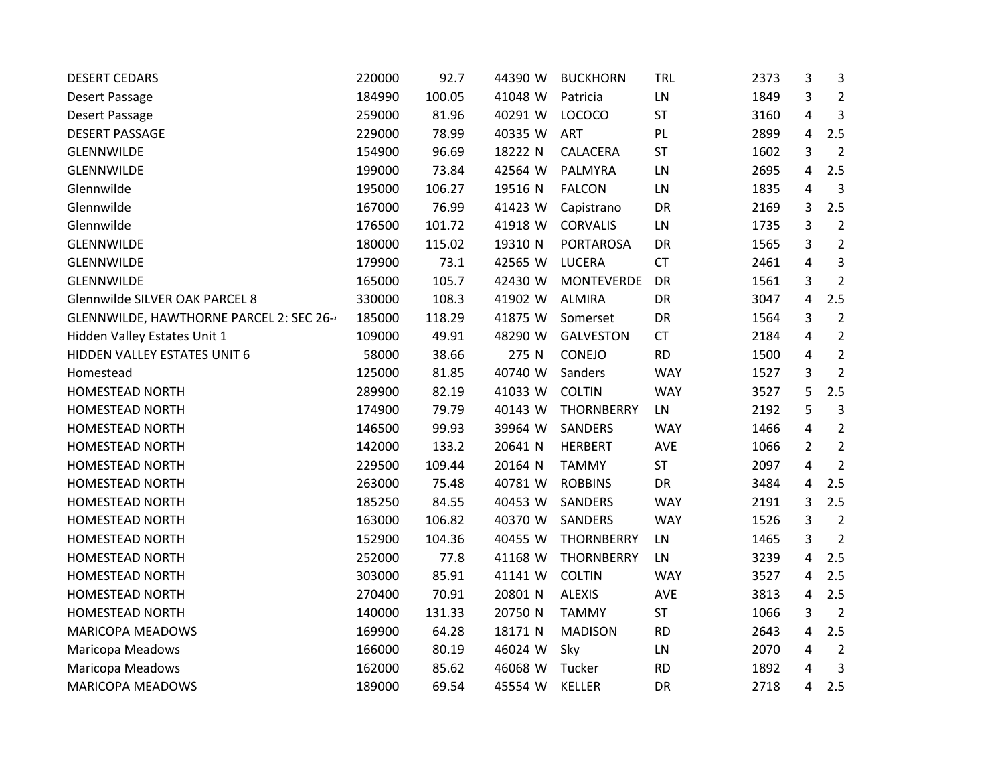| <b>DESERT CEDARS</b>                    | 220000 | 92.7   | 44390 W | <b>BUCKHORN</b>   | <b>TRL</b> | 2373 | 3              | 3              |
|-----------------------------------------|--------|--------|---------|-------------------|------------|------|----------------|----------------|
| Desert Passage                          | 184990 | 100.05 | 41048 W | Patricia          | LN         | 1849 | 3              | $\overline{2}$ |
| Desert Passage                          | 259000 | 81.96  | 40291 W | <b>LOCOCO</b>     | <b>ST</b>  | 3160 | 4              | 3              |
| <b>DESERT PASSAGE</b>                   | 229000 | 78.99  | 40335 W | <b>ART</b>        | PL         | 2899 | 4              | 2.5            |
| GLENNWILDE                              | 154900 | 96.69  | 18222 N | CALACERA          | <b>ST</b>  | 1602 | 3              | $\overline{2}$ |
| <b>GLENNWILDE</b>                       | 199000 | 73.84  | 42564 W | PALMYRA           | LN         | 2695 | 4              | 2.5            |
| Glennwilde                              | 195000 | 106.27 | 19516 N | <b>FALCON</b>     | LN         | 1835 | $\overline{4}$ | 3              |
| Glennwilde                              | 167000 | 76.99  | 41423 W | Capistrano        | DR         | 2169 | 3              | 2.5            |
| Glennwilde                              | 176500 | 101.72 | 41918 W | <b>CORVALIS</b>   | LN         | 1735 | 3              | $\overline{2}$ |
| <b>GLENNWILDE</b>                       | 180000 | 115.02 | 19310 N | <b>PORTAROSA</b>  | DR         | 1565 | 3              | $\overline{2}$ |
| <b>GLENNWILDE</b>                       | 179900 | 73.1   | 42565 W | LUCERA            | <b>CT</b>  | 2461 | 4              | 3              |
| <b>GLENNWILDE</b>                       | 165000 | 105.7  | 42430 W | <b>MONTEVERDE</b> | DR         | 1561 | 3              | $\overline{2}$ |
| Glennwilde SILVER OAK PARCEL 8          | 330000 | 108.3  | 41902 W | <b>ALMIRA</b>     | DR         | 3047 | 4              | 2.5            |
| GLENNWILDE, HAWTHORNE PARCEL 2: SEC 26- | 185000 | 118.29 | 41875 W | Somerset          | DR         | 1564 | 3              | $\overline{2}$ |
| Hidden Valley Estates Unit 1            | 109000 | 49.91  | 48290 W | <b>GALVESTON</b>  | <b>CT</b>  | 2184 | 4              | $\overline{2}$ |
| HIDDEN VALLEY ESTATES UNIT 6            | 58000  | 38.66  | 275 N   | CONEJO            | <b>RD</b>  | 1500 | 4              | $\overline{2}$ |
| Homestead                               | 125000 | 81.85  | 40740 W | Sanders           | <b>WAY</b> | 1527 | 3              | $\overline{2}$ |
| <b>HOMESTEAD NORTH</b>                  | 289900 | 82.19  | 41033 W | <b>COLTIN</b>     | <b>WAY</b> | 3527 | 5              | 2.5            |
| <b>HOMESTEAD NORTH</b>                  | 174900 | 79.79  | 40143 W | <b>THORNBERRY</b> | LN         | 2192 | 5              | $\overline{3}$ |
| <b>HOMESTEAD NORTH</b>                  | 146500 | 99.93  | 39964 W | SANDERS           | <b>WAY</b> | 1466 | 4              | $\overline{2}$ |
| <b>HOMESTEAD NORTH</b>                  | 142000 | 133.2  | 20641 N | <b>HERBERT</b>    | AVE        | 1066 | $\overline{2}$ | $\overline{2}$ |
| <b>HOMESTEAD NORTH</b>                  | 229500 | 109.44 | 20164 N | <b>TAMMY</b>      | ST         | 2097 | 4              | $\overline{2}$ |
| <b>HOMESTEAD NORTH</b>                  | 263000 | 75.48  | 40781 W | <b>ROBBINS</b>    | DR         | 3484 | 4              | 2.5            |
| <b>HOMESTEAD NORTH</b>                  | 185250 | 84.55  | 40453 W | SANDERS           | <b>WAY</b> | 2191 | 3              | 2.5            |
| <b>HOMESTEAD NORTH</b>                  | 163000 | 106.82 | 40370 W | SANDERS           | <b>WAY</b> | 1526 | 3              | $\overline{2}$ |
| <b>HOMESTEAD NORTH</b>                  | 152900 | 104.36 | 40455 W | THORNBERRY        | LN         | 1465 | 3              | $\overline{2}$ |
| <b>HOMESTEAD NORTH</b>                  | 252000 | 77.8   | 41168 W | <b>THORNBERRY</b> | LN         | 3239 | 4              | 2.5            |
| HOMESTEAD NORTH                         | 303000 | 85.91  | 41141 W | <b>COLTIN</b>     | <b>WAY</b> | 3527 | 4              | 2.5            |
| <b>HOMESTEAD NORTH</b>                  | 270400 | 70.91  | 20801 N | <b>ALEXIS</b>     | AVE        | 3813 | 4              | 2.5            |
| <b>HOMESTEAD NORTH</b>                  | 140000 | 131.33 | 20750 N | <b>TAMMY</b>      | ST         | 1066 | 3              | $\overline{2}$ |
| <b>MARICOPA MEADOWS</b>                 | 169900 | 64.28  | 18171 N | <b>MADISON</b>    | <b>RD</b>  | 2643 | 4              | 2.5            |
| Maricopa Meadows                        | 166000 | 80.19  | 46024 W | Sky               | LN         | 2070 | 4              | $\overline{2}$ |
| Maricopa Meadows                        | 162000 | 85.62  | 46068 W | Tucker            | <b>RD</b>  | 1892 | 4              | 3              |
| <b>MARICOPA MEADOWS</b>                 | 189000 | 69.54  | 45554 W | <b>KELLER</b>     | <b>DR</b>  | 2718 | 4              | 2.5            |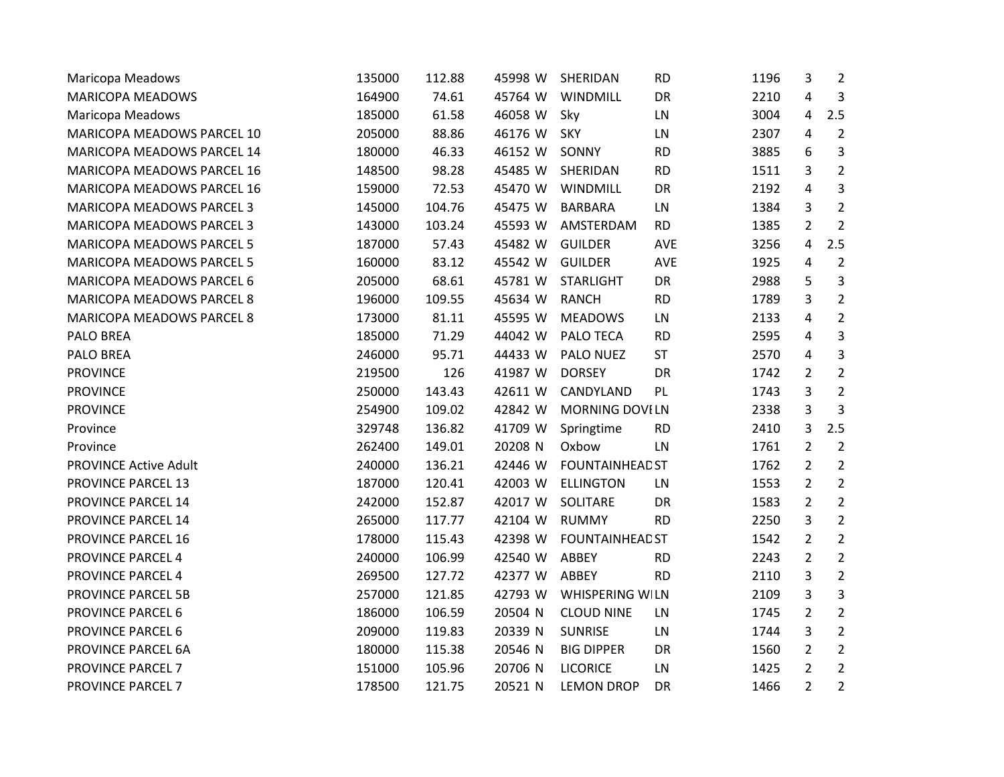| Maricopa Meadows                 | 135000 | 112.88 | 45998 W | SHERIDAN               | <b>RD</b> | 1196 | 3              | 2              |
|----------------------------------|--------|--------|---------|------------------------|-----------|------|----------------|----------------|
| <b>MARICOPA MEADOWS</b>          | 164900 | 74.61  | 45764 W | WINDMILL               | DR        | 2210 | $\overline{4}$ | 3              |
| Maricopa Meadows                 | 185000 | 61.58  | 46058 W | Sky                    | LN        | 3004 | $\overline{4}$ | 2.5            |
| MARICOPA MEADOWS PARCEL 10       | 205000 | 88.86  | 46176 W | SKY                    | LN        | 2307 | 4              | $\overline{2}$ |
| MARICOPA MEADOWS PARCEL 14       | 180000 | 46.33  | 46152 W | SONNY                  | <b>RD</b> | 3885 | 6              | 3              |
| MARICOPA MEADOWS PARCEL 16       | 148500 | 98.28  | 45485 W | SHERIDAN               | <b>RD</b> | 1511 | 3              | $\overline{2}$ |
| MARICOPA MEADOWS PARCEL 16       | 159000 | 72.53  | 45470 W | WINDMILL               | DR        | 2192 | 4              | 3              |
| MARICOPA MEADOWS PARCEL 3        | 145000 | 104.76 | 45475 W | <b>BARBARA</b>         | LN        | 1384 | 3              | $\overline{2}$ |
| MARICOPA MEADOWS PARCEL 3        | 143000 | 103.24 | 45593 W | AMSTERDAM              | <b>RD</b> | 1385 | $\overline{2}$ | $\overline{2}$ |
| MARICOPA MEADOWS PARCEL 5        | 187000 | 57.43  | 45482 W | <b>GUILDER</b>         | AVE       | 3256 | $\overline{a}$ | 2.5            |
| <b>MARICOPA MEADOWS PARCEL 5</b> | 160000 | 83.12  | 45542 W | <b>GUILDER</b>         | AVE       | 1925 | $\overline{4}$ | $\overline{2}$ |
| MARICOPA MEADOWS PARCEL 6        | 205000 | 68.61  | 45781 W | <b>STARLIGHT</b>       | <b>DR</b> | 2988 | 5              | 3              |
| <b>MARICOPA MEADOWS PARCEL 8</b> | 196000 | 109.55 | 45634 W | <b>RANCH</b>           | <b>RD</b> | 1789 | 3              | $\overline{2}$ |
| MARICOPA MEADOWS PARCEL 8        | 173000 | 81.11  | 45595 W | <b>MEADOWS</b>         | LN        | 2133 | 4              | $\overline{2}$ |
| <b>PALO BREA</b>                 | 185000 | 71.29  | 44042 W | PALO TECA              | <b>RD</b> | 2595 | 4              | 3              |
| PALO BREA                        | 246000 | 95.71  | 44433 W | PALO NUEZ              | <b>ST</b> | 2570 | 4              | 3              |
| <b>PROVINCE</b>                  | 219500 | 126    | 41987 W | <b>DORSEY</b>          | DR        | 1742 | $\overline{2}$ | $\overline{2}$ |
| <b>PROVINCE</b>                  | 250000 | 143.43 | 42611 W | CANDYLAND              | PL.       | 1743 | 3              | $\overline{2}$ |
| <b>PROVINCE</b>                  | 254900 | 109.02 | 42842 W | <b>MORNING DOVILN</b>  |           | 2338 | 3              | 3              |
| Province                         | 329748 | 136.82 | 41709 W | Springtime             | <b>RD</b> | 2410 | 3              | 2.5            |
| Province                         | 262400 | 149.01 | 20208 N | Oxbow                  | LN        | 1761 | $\overline{2}$ | $\overline{2}$ |
| <b>PROVINCE Active Adult</b>     | 240000 | 136.21 | 42446 W | <b>FOUNTAINHEAD ST</b> |           | 1762 | $\overline{2}$ | $\overline{2}$ |
| PROVINCE PARCEL 13               | 187000 | 120.41 | 42003 W | <b>ELLINGTON</b>       | LN        | 1553 | $\overline{2}$ | $\overline{2}$ |
| PROVINCE PARCEL 14               | 242000 | 152.87 | 42017 W | SOLITARE               | DR        | 1583 | $\overline{2}$ | $\overline{2}$ |
| PROVINCE PARCEL 14               | 265000 | 117.77 | 42104 W | <b>RUMMY</b>           | <b>RD</b> | 2250 | 3              | $\overline{2}$ |
| PROVINCE PARCEL 16               | 178000 | 115.43 | 42398 W | <b>FOUNTAINHEAD ST</b> |           | 1542 | $\overline{2}$ | $\overline{2}$ |
| PROVINCE PARCEL 4                | 240000 | 106.99 | 42540 W | ABBEY                  | <b>RD</b> | 2243 | $\overline{2}$ | $\overline{2}$ |
| PROVINCE PARCEL 4                | 269500 | 127.72 | 42377 W | ABBEY                  | <b>RD</b> | 2110 | 3              | $\overline{2}$ |
| <b>PROVINCE PARCEL 5B</b>        | 257000 | 121.85 | 42793 W | WHISPERING WILN        |           | 2109 | 3              | 3              |
| PROVINCE PARCEL 6                | 186000 | 106.59 | 20504 N | <b>CLOUD NINE</b>      | LN        | 1745 | $\overline{2}$ | $\overline{2}$ |
| PROVINCE PARCEL 6                | 209000 | 119.83 | 20339 N | <b>SUNRISE</b>         | LN        | 1744 | 3              | $\overline{2}$ |
| PROVINCE PARCEL 6A               | 180000 | 115.38 | 20546 N | <b>BIG DIPPER</b>      | DR        | 1560 | 2              | $\overline{2}$ |
| <b>PROVINCE PARCEL 7</b>         | 151000 | 105.96 | 20706 N | <b>LICORICE</b>        | LN        | 1425 | $\overline{2}$ | $\overline{2}$ |
| <b>PROVINCE PARCEL 7</b>         | 178500 | 121.75 | 20521 N | <b>LEMON DROP</b>      | DR        | 1466 | $\overline{2}$ | $\overline{2}$ |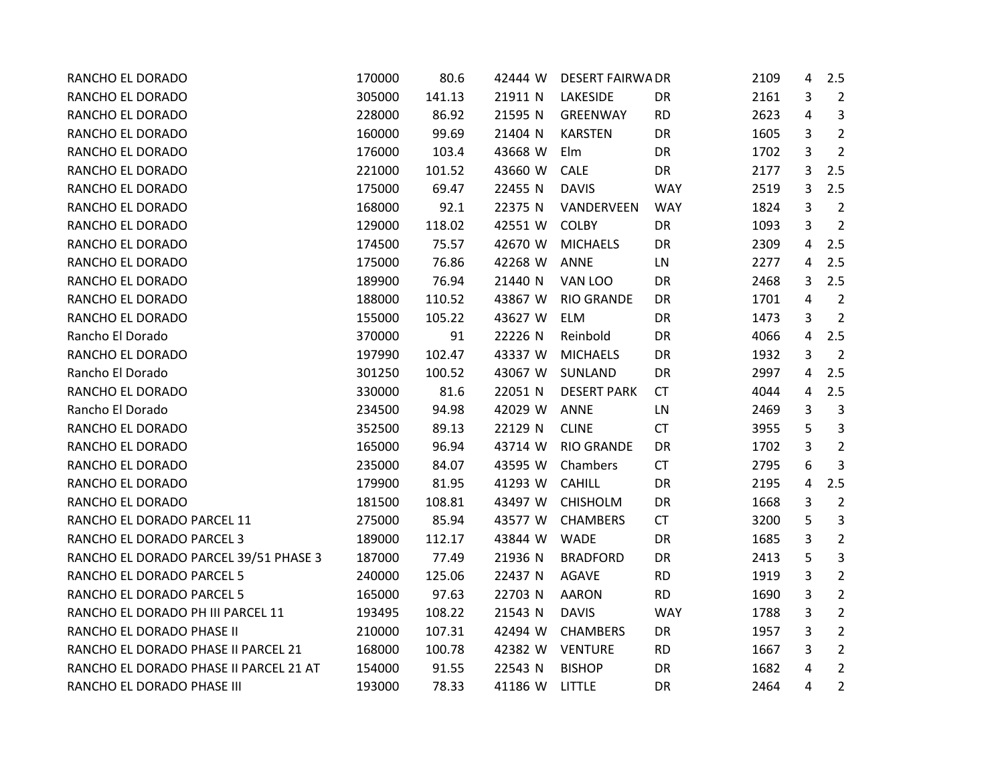| RANCHO EL DORADO                       | 170000 | 80.6   | 42444 W | <b>DESERT FAIRWA DR</b> |            | 2109 | 4 | 2.5            |
|----------------------------------------|--------|--------|---------|-------------------------|------------|------|---|----------------|
| RANCHO EL DORADO                       | 305000 | 141.13 | 21911 N | LAKESIDE                | DR         | 2161 | 3 | $\overline{2}$ |
| RANCHO EL DORADO                       | 228000 | 86.92  | 21595 N | GREENWAY                | <b>RD</b>  | 2623 | 4 | 3              |
| RANCHO EL DORADO                       | 160000 | 99.69  | 21404 N | <b>KARSTEN</b>          | DR         | 1605 | 3 | $\overline{2}$ |
| RANCHO EL DORADO                       | 176000 | 103.4  | 43668 W | Elm                     | DR         | 1702 | 3 | $\overline{2}$ |
| RANCHO EL DORADO                       | 221000 | 101.52 | 43660 W | CALE                    | DR         | 2177 | 3 | 2.5            |
| RANCHO EL DORADO                       | 175000 | 69.47  | 22455 N | <b>DAVIS</b>            | <b>WAY</b> | 2519 | 3 | 2.5            |
| RANCHO EL DORADO                       | 168000 | 92.1   | 22375 N | VANDERVEEN              | <b>WAY</b> | 1824 | 3 | $\overline{2}$ |
| RANCHO EL DORADO                       | 129000 | 118.02 | 42551 W | <b>COLBY</b>            | DR         | 1093 | 3 | $\overline{2}$ |
| RANCHO EL DORADO                       | 174500 | 75.57  | 42670 W | <b>MICHAELS</b>         | DR         | 2309 | 4 | 2.5            |
| RANCHO EL DORADO                       | 175000 | 76.86  | 42268 W | ANNE                    | LN         | 2277 | 4 | 2.5            |
| RANCHO EL DORADO                       | 189900 | 76.94  | 21440 N | VAN LOO                 | DR         | 2468 | 3 | 2.5            |
| RANCHO EL DORADO                       | 188000 | 110.52 | 43867 W | <b>RIO GRANDE</b>       | DR         | 1701 | 4 | $\overline{2}$ |
| RANCHO EL DORADO                       | 155000 | 105.22 | 43627 W | <b>ELM</b>              | DR         | 1473 | 3 | $\overline{2}$ |
| Rancho El Dorado                       | 370000 | 91     | 22226 N | Reinbold                | DR         | 4066 | 4 | 2.5            |
| RANCHO EL DORADO                       | 197990 | 102.47 | 43337 W | <b>MICHAELS</b>         | DR         | 1932 | 3 | $\overline{2}$ |
| Rancho El Dorado                       | 301250 | 100.52 | 43067 W | SUNLAND                 | DR         | 2997 | 4 | 2.5            |
| RANCHO EL DORADO                       | 330000 | 81.6   | 22051 N | <b>DESERT PARK</b>      | <b>CT</b>  | 4044 | 4 | 2.5            |
| Rancho El Dorado                       | 234500 | 94.98  | 42029 W | <b>ANNE</b>             | LN         | 2469 | 3 | $\mathbf{3}$   |
| RANCHO EL DORADO                       | 352500 | 89.13  | 22129 N | <b>CLINE</b>            | <b>CT</b>  | 3955 | 5 | $\overline{3}$ |
| RANCHO EL DORADO                       | 165000 | 96.94  | 43714 W | <b>RIO GRANDE</b>       | DR         | 1702 | 3 | $\overline{2}$ |
| RANCHO EL DORADO                       | 235000 | 84.07  | 43595 W | Chambers                | <b>CT</b>  | 2795 | 6 | 3              |
| RANCHO EL DORADO                       | 179900 | 81.95  | 41293 W | CAHILL                  | DR         | 2195 | 4 | 2.5            |
| RANCHO EL DORADO                       | 181500 | 108.81 | 43497 W | <b>CHISHOLM</b>         | DR         | 1668 | 3 | $\overline{2}$ |
| RANCHO EL DORADO PARCEL 11             | 275000 | 85.94  | 43577 W | <b>CHAMBERS</b>         | <b>CT</b>  | 3200 | 5 | 3              |
| RANCHO EL DORADO PARCEL 3              | 189000 | 112.17 | 43844 W | <b>WADE</b>             | DR         | 1685 | 3 | $\overline{2}$ |
| RANCHO EL DORADO PARCEL 39/51 PHASE 3  | 187000 | 77.49  | 21936 N | <b>BRADFORD</b>         | DR         | 2413 | 5 | 3              |
| RANCHO EL DORADO PARCEL 5              | 240000 | 125.06 | 22437 N | <b>AGAVE</b>            | <b>RD</b>  | 1919 | 3 | $\overline{2}$ |
| RANCHO EL DORADO PARCEL 5              | 165000 | 97.63  | 22703 N | <b>AARON</b>            | <b>RD</b>  | 1690 | 3 | $\overline{2}$ |
| RANCHO EL DORADO PH III PARCEL 11      | 193495 | 108.22 | 21543 N | <b>DAVIS</b>            | <b>WAY</b> | 1788 | 3 | $\overline{2}$ |
| RANCHO EL DORADO PHASE II              | 210000 | 107.31 | 42494 W | <b>CHAMBERS</b>         | DR         | 1957 | 3 | $\overline{2}$ |
| RANCHO EL DORADO PHASE II PARCEL 21    | 168000 | 100.78 | 42382 W | <b>VENTURE</b>          | <b>RD</b>  | 1667 | 3 | $\overline{2}$ |
| RANCHO EL DORADO PHASE II PARCEL 21 AT | 154000 | 91.55  | 22543 N | <b>BISHOP</b>           | DR         | 1682 | 4 | $\overline{2}$ |
| RANCHO EL DORADO PHASE III             | 193000 | 78.33  | 41186 W | LITTLE                  | DR         | 2464 | 4 | $\overline{2}$ |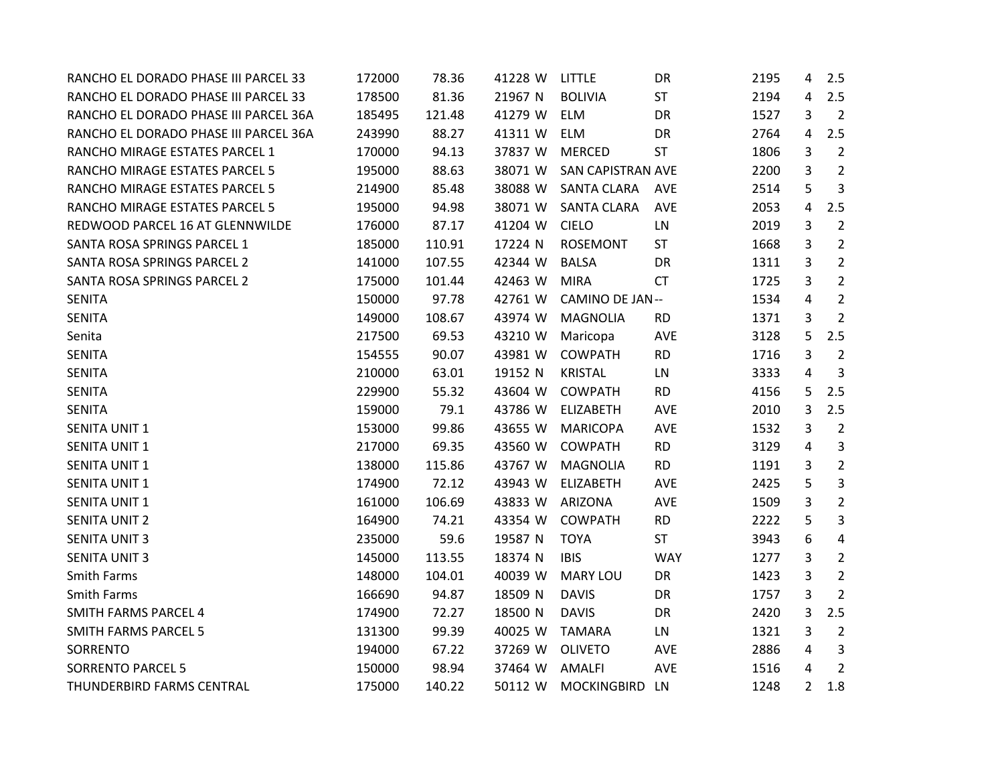| RANCHO EL DORADO PHASE III PARCEL 33  | 172000 | 78.36  | 41228 W | LITTLE                 | DR         | 2195 | 4              | 2.5            |
|---------------------------------------|--------|--------|---------|------------------------|------------|------|----------------|----------------|
| RANCHO EL DORADO PHASE III PARCEL 33  | 178500 | 81.36  | 21967 N | <b>BOLIVIA</b>         | <b>ST</b>  | 2194 | 4              | 2.5            |
| RANCHO EL DORADO PHASE III PARCEL 36A | 185495 | 121.48 | 41279 W | ELM                    | DR         | 1527 | 3              | $\overline{2}$ |
| RANCHO EL DORADO PHASE III PARCEL 36A | 243990 | 88.27  | 41311 W | <b>ELM</b>             | DR         | 2764 | 4              | 2.5            |
| RANCHO MIRAGE ESTATES PARCEL 1        | 170000 | 94.13  | 37837 W | <b>MERCED</b>          | <b>ST</b>  | 1806 | 3              | $\overline{2}$ |
| RANCHO MIRAGE ESTATES PARCEL 5        | 195000 | 88.63  | 38071 W | SAN CAPISTRAN AVE      |            | 2200 | 3              | $\overline{2}$ |
| RANCHO MIRAGE ESTATES PARCEL 5        | 214900 | 85.48  | 38088 W | <b>SANTA CLARA</b>     | <b>AVE</b> | 2514 | 5              | 3              |
| RANCHO MIRAGE ESTATES PARCEL 5        | 195000 | 94.98  | 38071 W | <b>SANTA CLARA</b>     | AVE        | 2053 | 4              | 2.5            |
| REDWOOD PARCEL 16 AT GLENNWILDE       | 176000 | 87.17  | 41204 W | <b>CIELO</b>           | LN         | 2019 | 3              | $\overline{2}$ |
| SANTA ROSA SPRINGS PARCEL 1           | 185000 | 110.91 | 17224 N | <b>ROSEMONT</b>        | ST         | 1668 | 3              | $\overline{2}$ |
| SANTA ROSA SPRINGS PARCEL 2           | 141000 | 107.55 | 42344 W | <b>BALSA</b>           | DR         | 1311 | 3              | $\overline{2}$ |
| SANTA ROSA SPRINGS PARCEL 2           | 175000 | 101.44 | 42463 W | <b>MIRA</b>            | <b>CT</b>  | 1725 | 3              | $\overline{2}$ |
| <b>SENITA</b>                         | 150000 | 97.78  | 42761 W | <b>CAMINO DE JAN--</b> |            | 1534 | 4              | $\overline{2}$ |
| <b>SENITA</b>                         | 149000 | 108.67 | 43974 W | <b>MAGNOLIA</b>        | <b>RD</b>  | 1371 | 3              | $\overline{2}$ |
| Senita                                | 217500 | 69.53  | 43210 W | Maricopa               | AVE        | 3128 | 5              | 2.5            |
| <b>SENITA</b>                         | 154555 | 90.07  | 43981 W | <b>COWPATH</b>         | <b>RD</b>  | 1716 | 3              | $\overline{2}$ |
| <b>SENITA</b>                         | 210000 | 63.01  | 19152 N | <b>KRISTAL</b>         | LN         | 3333 | 4              | 3              |
| <b>SENITA</b>                         | 229900 | 55.32  | 43604 W | <b>COWPATH</b>         | <b>RD</b>  | 4156 | 5              | 2.5            |
| <b>SENITA</b>                         | 159000 | 79.1   | 43786 W | <b>ELIZABETH</b>       | AVE        | 2010 | 3              | 2.5            |
| <b>SENITA UNIT 1</b>                  | 153000 | 99.86  | 43655 W | <b>MARICOPA</b>        | AVE        | 1532 | 3              | $\overline{2}$ |
| <b>SENITA UNIT 1</b>                  | 217000 | 69.35  | 43560 W | <b>COWPATH</b>         | <b>RD</b>  | 3129 | 4              | 3              |
| <b>SENITA UNIT 1</b>                  | 138000 | 115.86 | 43767 W | <b>MAGNOLIA</b>        | <b>RD</b>  | 1191 | 3              | $\overline{2}$ |
| <b>SENITA UNIT 1</b>                  | 174900 | 72.12  | 43943 W | <b>ELIZABETH</b>       | AVE        | 2425 | 5              | 3              |
| <b>SENITA UNIT 1</b>                  | 161000 | 106.69 | 43833 W | ARIZONA                | AVE        | 1509 | 3              | $\overline{2}$ |
| <b>SENITA UNIT 2</b>                  | 164900 | 74.21  | 43354 W | <b>COWPATH</b>         | <b>RD</b>  | 2222 | 5              | 3              |
| <b>SENITA UNIT 3</b>                  | 235000 | 59.6   | 19587 N | <b>TOYA</b>            | <b>ST</b>  | 3943 | 6              | 4              |
| <b>SENITA UNIT 3</b>                  | 145000 | 113.55 | 18374 N | <b>IBIS</b>            | <b>WAY</b> | 1277 | 3              | $\overline{2}$ |
| Smith Farms                           | 148000 | 104.01 | 40039 W | <b>MARY LOU</b>        | DR         | 1423 | 3              | $\overline{2}$ |
| Smith Farms                           | 166690 | 94.87  | 18509 N | <b>DAVIS</b>           | DR         | 1757 | 3              | $\overline{2}$ |
| <b>SMITH FARMS PARCEL 4</b>           | 174900 | 72.27  | 18500 N | <b>DAVIS</b>           | DR         | 2420 | 3              | 2.5            |
| <b>SMITH FARMS PARCEL 5</b>           | 131300 | 99.39  | 40025 W | <b>TAMARA</b>          | LN         | 1321 | 3              | $\overline{2}$ |
| SORRENTO                              | 194000 | 67.22  | 37269 W | <b>OLIVETO</b>         | AVE        | 2886 | 4              | 3              |
| <b>SORRENTO PARCEL 5</b>              | 150000 | 98.94  | 37464 W | <b>AMALFI</b>          | AVE        | 1516 | 4              | 2              |
| THUNDERBIRD FARMS CENTRAL             | 175000 | 140.22 | 50112 W | MOCKINGBIRD LN         |            | 1248 | $\overline{2}$ | 1.8            |